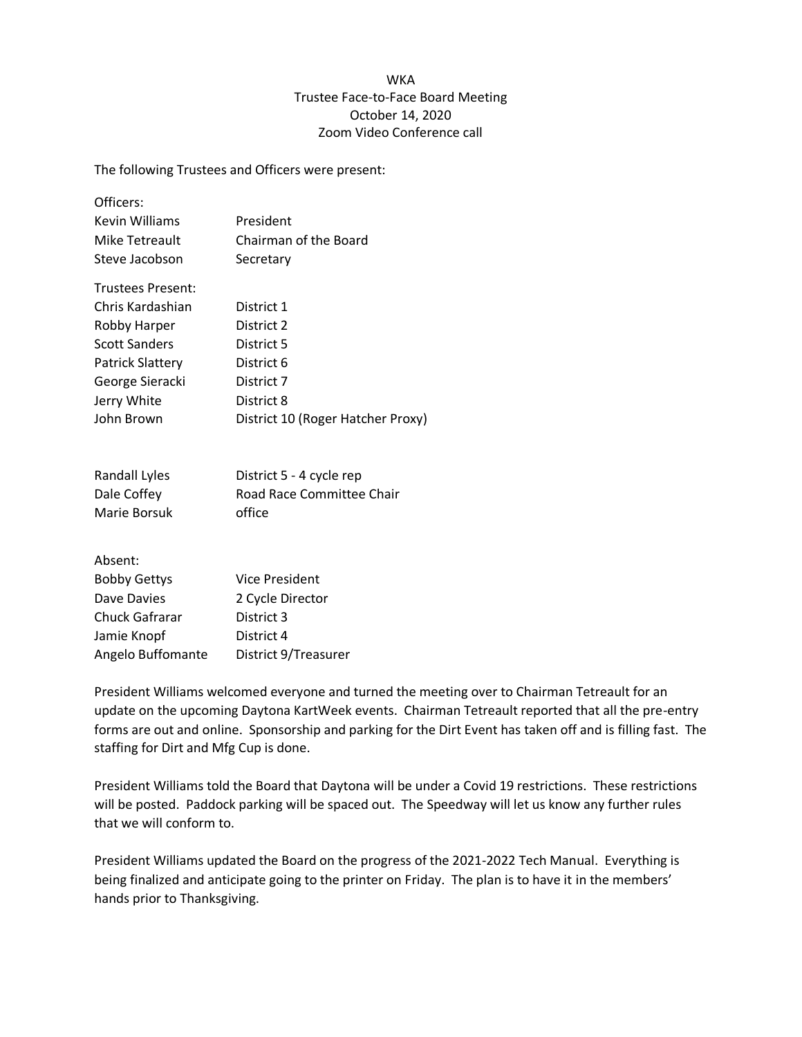## **WKA** Trustee Face-to-Face Board Meeting October 14, 2020 Zoom Video Conference call

The following Trustees and Officers were present:

| Officers:            |                                   |
|----------------------|-----------------------------------|
| Kevin Williams       | President                         |
| Mike Tetreault       | Chairman of the Board             |
| Steve Jacobson       | Secretary                         |
| Trustees Present:    |                                   |
| Chris Kardashian     | District 1                        |
| Robby Harper         | District 2                        |
| <b>Scott Sanders</b> | District 5                        |
| Patrick Slattery     | District 6                        |
| George Sieracki      | District 7                        |
| Jerry White          | District 8                        |
| John Brown           | District 10 (Roger Hatcher Proxy) |
|                      |                                   |

| Randall Lyles | District 5 - 4 cycle rep  |
|---------------|---------------------------|
| Dale Coffey   | Road Race Committee Chair |
| Marie Borsuk  | office                    |

Absent:

| <b>Bobby Gettys</b> | <b>Vice President</b> |
|---------------------|-----------------------|
| Dave Davies         | 2 Cycle Director      |
| Chuck Gafrarar      | District 3            |
| Jamie Knopf         | District 4            |
| Angelo Buffomante   | District 9/Treasurer  |

President Williams welcomed everyone and turned the meeting over to Chairman Tetreault for an update on the upcoming Daytona KartWeek events. Chairman Tetreault reported that all the pre-entry forms are out and online. Sponsorship and parking for the Dirt Event has taken off and is filling fast. The staffing for Dirt and Mfg Cup is done.

President Williams told the Board that Daytona will be under a Covid 19 restrictions. These restrictions will be posted. Paddock parking will be spaced out. The Speedway will let us know any further rules that we will conform to.

President Williams updated the Board on the progress of the 2021-2022 Tech Manual. Everything is being finalized and anticipate going to the printer on Friday. The plan is to have it in the members' hands prior to Thanksgiving.